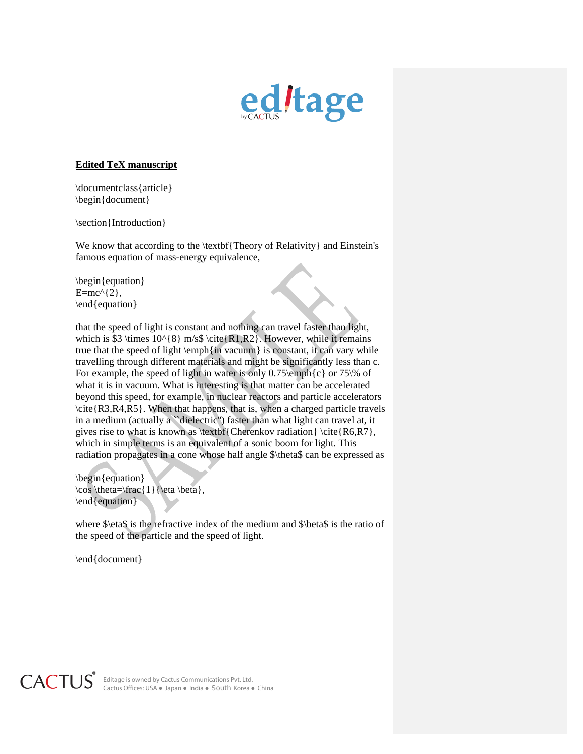

## **Edited TeX manuscript**

\documentclass{article} \begin{document}

\section{Introduction}

We know that according to the \textbf{Theory of Relativity} and Einstein's famous equation of mass-energy equivalence,

\begin{equation}  $E=mc^{(2)},$ \end{equation}

that the speed of light is constant and nothing can travel faster than light, which is \$3 \times  $10^{8}$  m/s\$ \cite{R1,R2}. However, while it remains true that the speed of light  $\emptyset$  in vacuum} is constant, it can vary while travelling through different materials and might be significantly less than c. For example, the speed of light in water is only 0.75\emph{c} or 75\% of what it is in vacuum. What is interesting is that matter can be accelerated beyond this speed, for example, in nuclear reactors and particle accelerators \cite{R3,R4,R5}. When that happens, that is, when a charged particle travels in a medium (actually a "dielectric") faster than what light can travel at, it gives rise to what is known as \textbf{Cherenkov radiation} \cite{ $R6, R7$ }, which in simple terms is an equivalent of a sonic boom for light. This radiation propagates in a cone whose half angle \$\theta\$ can be expressed as

\begin{equation}  $\cos \theta=\frac{1}{\eta \beta}$ , \end{equation}

where \$\eta\$ is the refractive index of the medium and \$\beta\$ is the ratio of the speed of the particle and the speed of light.

\end{document}